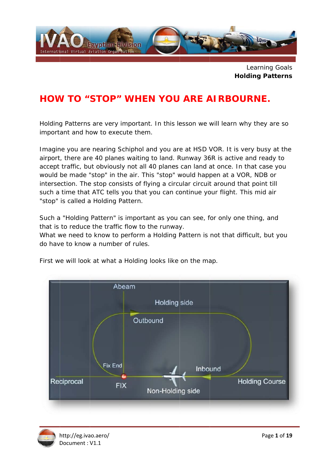

**H olding Pa atterns** Learning g Goals

# **HOW W TO " STOP" " WHEN N YOU ARE A AIRBO URNE.**

Holding Patterns are very important. In this lesson we will learn why they are so important and how to execute them.

Imagine you are nearing Schiphol and you are at HSD VOR. It is very busy at the airport, there are 40 planes waiting to land. Runway 36R is active and ready to accept traffic, but obviously not all 40 planes can land at once. In that case you would be made "stop" in the air. This "stop" would happen at a VOR, NDB or intersection. The stop consists of flying a circular circuit around that point till such a time that ATC tells you that you can continue your flight. This mid air "stop" is called a Holding Pattern.

Such a "Holding Pattern" is important as you can see, for only one thing, and that is to reduce the traffic flow to the runway.

What we need to know to perform a Holding Pattern is not that difficult, but you do have to know a number of rules.



First we will look at what a Holding looks like on the map.

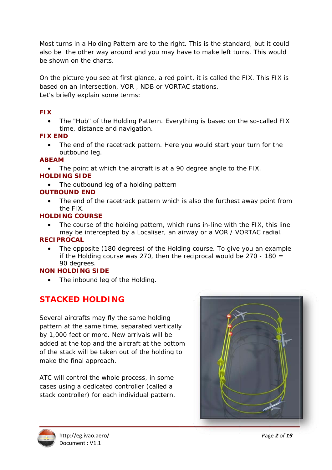Most turns in a Holding Pattern are to the right. This is the standard, but it could also be the other way around and you may have to make left turns. This would be shown on the charts

On the picture you see at first glance, a red point, it is called the FIX. This FIX is based on an Intersection, VOR, NDB or VORTAC stations. Let's briefly explain some terms:

#### **FIX**

The "Hub" of the Holding Pattern. Everything is based on the so-called FIX  $\bullet$ time, distance and navigation.

#### **FIX END**

The end of the racetrack pattern. Here you would start your turn for the outbound leg.

#### **ABEAM**

The point at which the aircraft is at a 90 degree angle to the FIX.  $\blacksquare$ 

#### **HOLDING SIDE**

The outbound leg of a holding pattern **OUTBOUND END** 

The end of the racetrack pattern which is also the furthest away point from  $\bullet$  $the$  $FIX$ 

#### **HOLDING COURSE**

The course of the holding pattern, which runs in-line with the FIX, this line may be intercepted by a Localiser, an airway or a VOR / VORTAC radial.

#### **RECIPROCAL**

The opposite (180 degrees) of the Holding course. To give you an example if the Holding course was 270, then the reciprocal would be  $270 - 180 =$ 90 degrees.

#### **NON HOLDING SIDE**

The inbound leg of the Holding.  $\bullet$ 

# **STACKED HOLDING**

Several aircrafts may fly the same holding pattern at the same time, separated vertically by 1,000 feet or more. New arrivals will be added at the top and the aircraft at the bottom of the stack will be taken out of the holding to make the final approach.

ATC will control the whole process, in some cases using a dedicated controller (called a stack controller) for each individual pattern.



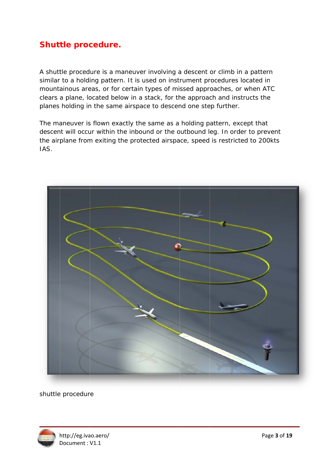### **Shuttle procedure.**

A shuttle procedure is a maneuver involving a descent or climb in a pattern similar to a holding pattern. It is used on instrument procedures located in mountainous areas, or for certain types of missed approaches, or when ATC clears a plane, located below in a stack, for the approach and instructs the planes holding in the same airspace to descend one step further.

The maneuver is flown exactly the same as a holding pattern, except that descent will occur within the inbound or the outbound leg. In order to prevent the airplane from exiting the protected airspace, speed is restricted to 200kts IAS.



shuttle procedure

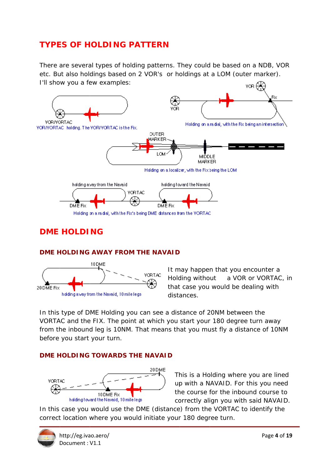# **TYPES OF HOLDING PATTERN**

There are several types of holding patterns. They could be based on a NDB, VOR etc. But also holdings based on 2 VOR's or holdings at a LOM (outer marker). I'll show you a few examples: von e $\star$ 



### **DME HOLDING**

#### DME HOLDING AWAY FROM THE NAVAID



It may happen that you encounter a a VOR or VORTAC, in Holding without that case you would be dealing with distances.

In this type of DME Holding you can see a distance of 20NM between the VORTAC and the FIX. The point at which you start your 180 degree turn away from the inbound leg is 10NM. That means that you must fly a distance of 10NM before you start your turn.

#### DME HOLDING TOWARDS THE NAVAID



This is a Holding where you are lined up with a NAVAID. For this you need the course for the inbound course to correctly align you with said NAVAID.

In this case you would use the DME (distance) from the VORTAC to identify the correct location where you would initiate your 180 degree turn.

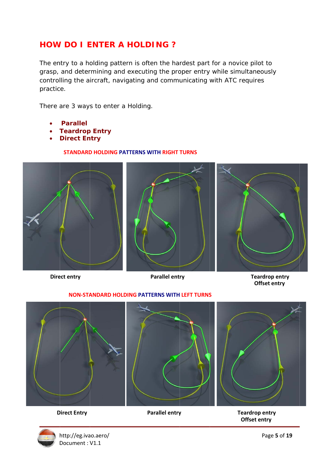### **HOW DO I ENTER A HOLDING ?**

The entry to a holding pattern is often the hardest part for a novice pilot to grasp, and determining and executing the proper entry while simultaneously controlling the aircraft, navigating and communicating with ATC requires practice.

There are 3 ways to enter a Holding.

- Parallel
- **Teardrop Entry**
- **Direct Entry**

#### **STANDARD HOLDING PATTERNS WITH RIGHT TURNS**



**Direct entry** 

**Parallel entry** 

**Teardrop entry** Offset entry

#### **NON-STANDARD HOLDING PATTERNS WITH LEFT TURNS**



**Direct Entry** 

**Parallel entry** 

**Teardrop entry** Offset entry



http://eg.ivao.aero/ Document: V1.1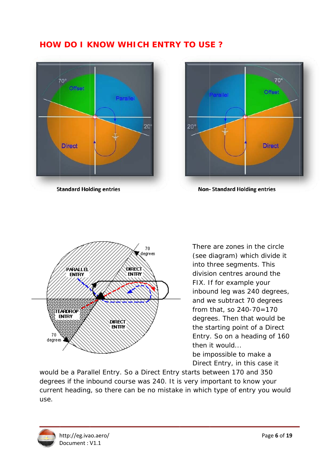### **HOW DO I KNOW WHICH ENTRY TO USE?**



**Standard Holding entries** 



**Non-Standard Holding entries** 



There are zones in the circle (see diagram) which divide it into three segments. This division centres around the FIX. If for example your inbound leg was 240 degrees, and we subtract 70 degrees from that, so 240-70=170 degrees. Then that would be the starting point of a Direct Entry. So on a heading of 160 then it would... be impossible to make a Direct Entry, in this case it

would be a Parallel Entry. So a Direct Entry starts between 170 and 350 degrees if the inbound course was 240. It is very important to know your current heading, so there can be no mistake in which type of entry you would use.

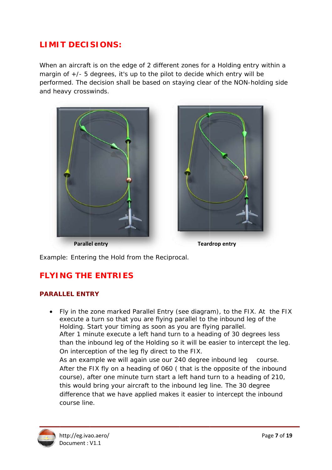### **LIMIT DECISIONS:**

When an aircraft is on the edge of 2 different zones for a Holding entry within a margin of  $+/-$  5 degrees, it's up to the pilot to decide which entry will be performed. The decision shall be based on staying clear of the NON-holding side and heavy crosswinds.





**Parallel entry** 

**Teardrop entry** 

Example: Entering the Hold from the Reciprocal.

### **FLYING THE ENTRIES**

#### **PARALLEL ENTRY**

• Fly in the zone marked Parallel Entry (see diagram), to the FIX. At the FIX execute a turn so that you are flying parallel to the inbound leg of the Holding. Start your timing as soon as you are flying parallel. After 1 minute execute a left hand turn to a heading of 30 degrees less than the inbound leg of the Holding so it will be easier to intercept the leg. On interception of the leg fly direct to the FIX. As an example we will again use our 240 degree inbound leg course. After the FIX fly on a heading of 060 (that is the opposite of the inbound

course), after one minute turn start a left hand turn to a heading of 210, this would bring your aircraft to the inbound leg line. The 30 degree difference that we have applied makes it easier to intercept the inbound course line.

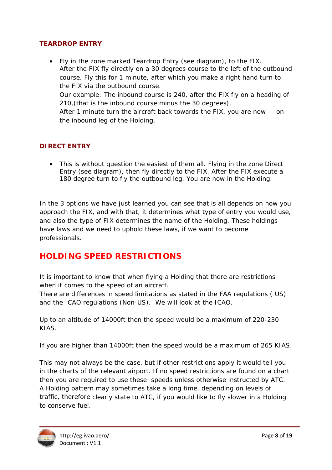#### **TEARDROP ENTRY**

• Fly in the zone marked Teardrop Entry (see diagram), to the FIX. After the FIX fly directly on a 30 degrees course to the left of the outbound course. Fly this for 1 minute, after which you make a right hand turn to the FIX via the outbound course. Our example: The inbound course is 240, after the FIX fly on a heading of 210 (that is the inbound course minus the 30 degrees). After 1 minute turn the aircraft back towards the FIX, you are now  $on$ the inbound leg of the Holding.

#### **DIRECT ENTRY**

• This is without question the easiest of them all. Flying in the zone Direct Entry (see diagram), then fly directly to the FIX. After the FIX execute a 180 degree turn to fly the outbound leg. You are now in the Holding.

In the 3 options we have just learned you can see that is all depends on how you approach the FIX, and with that, it determines what type of entry you would use, and also the type of FIX determines the name of the Holding. These holdings have laws and we need to uphold these laws, if we want to become professionals.

#### **HOLDING SPEED RESTRICTIONS**

It is important to know that when flying a Holding that there are restrictions when it comes to the speed of an aircraft.

There are differences in speed limitations as stated in the FAA regulations (US) and the ICAO regulations (Non-US). We will look at the ICAO.

Up to an altitude of 14000ft then the speed would be a maximum of 220-230 **KIAS** 

If you are higher than 14000ft then the speed would be a maximum of 265 KIAS.

This may not always be the case, but if other restrictions apply it would tell you in the charts of the relevant airport. If no speed restrictions are found on a chart then you are required to use these speeds unless otherwise instructed by ATC. A Holding pattern may sometimes take a long time, depending on levels of traffic, therefore clearly state to ATC, if you would like to fly slower in a Holding to conserve fuel.

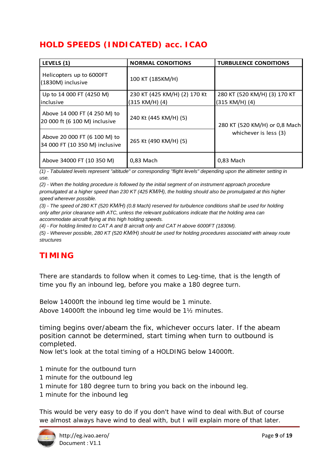# **HOLD SPEEDS (INDICATED) acc. ICAO**

| LEVELS (1)                                                     | <b>NORMAL CONDITIONS</b>                       | <b>TURBULENCE CONDITIONS</b>                           |
|----------------------------------------------------------------|------------------------------------------------|--------------------------------------------------------|
| Helicopters up to 6000FT<br>(1830M) inclusive                  | 100 KT (185KM/H)                               |                                                        |
| Up to 14 000 FT (4250 M)<br>linclusive                         | 230 KT (425 KM/H) (2) 170 Kt<br>(315 KM/H) (4) | 280 KT (520 KM/H) (3) 170 KT<br>(315 KM/H) (4)         |
| Above 14 000 FT (4 250 M) to<br>20 000 ft (6 100 M) inclusive  | 240 Kt (445 KM/H) (5)                          | 280 KT (520 KM/H) or 0,8 Mach<br>whichever is less (3) |
| Above 20 000 FT (6 100 M) to<br>34 000 FT (10 350 M) inclusive | 265 Kt (490 KM/H) (5)                          |                                                        |
| Above 34000 FT (10 350 M)                                      | 0,83 Mach                                      | 0,83 Mach                                              |

*(1) - Tabu ulated levels r represent "altit tude" or corres sponding "fligh ht levels" depe ending upon th he altimeter s etting in use.* 

(2) - When the holding procedure is followed by the initial segment of on instrument approach procedure (2) - When the holding procedure is followed by the initial segment of on instrument approach procedure<br>*promulgated at a higher speed than 230 KT (425 KM/H), the holding should also be promulgated at this higher* speed wherever possible.

(3) - The speed of 280 KT (520 KM/H) (0.8 Mach) reserved for turbulence conditions shall be used for holding *colly after prior clearance with ATC, unless the relevant publications indicate that the holding area can accommodate aircraft flying at this high holding speeds.* 

*(4)* - For holding limited to CAT A and B aircraft only and CAT H above 6000FT (1830M).

(5) - Wherever possible, 280 KT (520 KM/H) should be used for holding procedures associated with airway route *structures s*

# **TIMI ING**

There are standards to follow when it comes to Leg-time, that is the length of time you fly an inbound leg, before you make a 180 degree turn.

Below 14000ft the inbound leg time would be 1 minute.

Above 14000ft the inbound leg time would be 11/2 minutes.

time you fly an inbound leg, before you make a 180 degree turn.<br>Below 14000ft the inbound leg time would be 1 minute.<br>Above 14000ft the inbound leg time would be 1½ minutes.<br>timing begins *over/abeam* the fix, whichever oc position cannot be determined, start timing when turn to outbound is compl eted.

Now let's look at the total timing of a HOLDING below 14000ft.

- 1 minute for the outbound turn
- 1 minute for the outbound leg
- 1 minute for 180 degree turn to bring you back on the inbound leg.
- 1 minute for the inbound leg

This would be very easy to do if you don't have wind to deal with. But of course we almost always have wind to deal with, but I will explain more of that later.

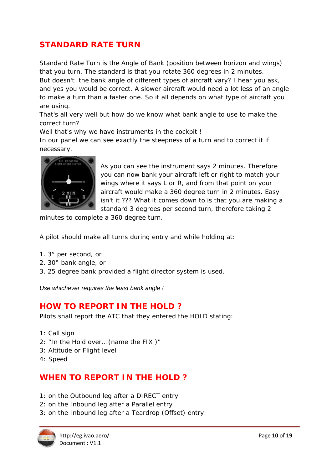### **STANDARD RATE TURN**

Standard Rate Turn is the Angle of Bank (position between horizon and wings) that you turn. The standard is that you rotate 360 degrees in 2 minutes. But doesn't the bank angle of different types of aircraft vary? I hear you ask, and yes you would be correct. A slower aircraft would need a lot less of an angle to make a turn than a faster one. So it all depends on what type of aircraft you are using.

That's all very well but how do we know what bank angle to use to make the correct turn?

Well that's why we have instruments in the cockpit !

In our panel we can see exactly the steepness of a turn and to correct it if necessary.



As you can see the instrument says 2 minutes. Therefore you can now bank your aircraft left or right to match your wings where it says L or R, and from that point on your aircraft would make a 360 degree turn in 2 minutes. Easy isn't it ??? What it comes down to is that you are making a standard 3 degrees per second turn, therefore taking 2

minutes to complete a 360 degree turn.

A pilot should make all turns during entry and while holding at:

- 1. 3° per second, or
- 2. 30° bank angle, or
- 3. 25 degree bank provided a flight director system is used.

Use whichever requires the least bank angle !

### **HOW TO REPORT IN THE HOLD?**

Pilots shall report the ATC that they entered the HOLD stating:

- 1: Call sign
- 2: "In the Hold over... (name the FIX)"
- 3: Altitude or Flight level
- 4: Speed

### WHEN TO REPORT IN THE HOLD?

- 1: on the Outbound leg after a DIRECT entry
- 2: on the Inbound leg after a Parallel entry
- 3: on the Inbound leg after a Teardrop (Offset) entry

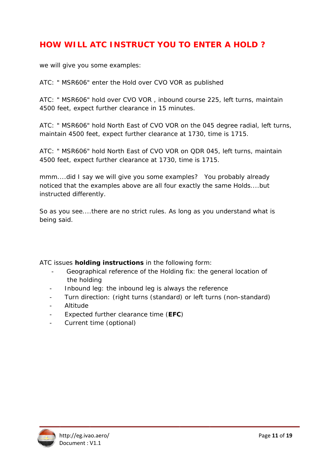### **HOW WILL ATC INSTRUCT YOU TO ENTER A HOLD?**

we will give you some examples:

ATC: " MSR606" enter the Hold over CVO VOR as published

ATC: " MSR606" hold over CVO VOR, inbound course 225, left turns, maintain 4500 feet, expect further clearance in 15 minutes.

ATC: " MSR606" hold North East of CVO VOR on the 045 degree radial, left turns, maintain 4500 feet, expect further clearance at 1730, time is 1715.

ATC: " MSR606" hold North East of CVO VOR on QDR 045, left turns, maintain 4500 feet, expect further clearance at 1730, time is 1715.

mmm....did I say we will give you some examples? You probably already noticed that the examples above are all four exactly the same Holds....but instructed differently.

So as you see....there are no strict rules. As long as you understand what is being said.

#### ATC issues **holding instructions** in the following form:

- Geographical reference of the Holding fix: the general location of the holding
- Inbound leg: the inbound leg is always the reference
- Turn direction: (right turns (standard) or left turns (non-standard)
- Altitude
- Expected further clearance time (EFC)  $\mathbf{r}$
- Current time (optional)

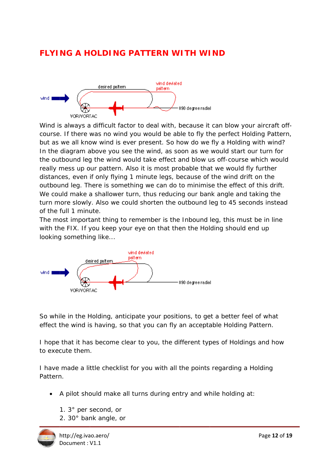## **FLYING A HOLDING PATTERN WITH WIND**



Wind is always a difficult factor to deal with, because it can blow your aircraft offcourse. If there was no wind you would be able to fly the perfect Holding Pattern, but as we all know wind is ever present. So how do we fly a Holding with wind? In the diagram above you see the wind, as soon as we would start our turn for the outbound leg the wind would take effect and blow us off-course which would really mess up our pattern. Also it is most probable that we would fly further distances, even if only flying 1 minute legs, because of the wind drift on the outbound leg. There is something we can do to minimise the effect of this drift. We could make a shallower turn, thus reducing our bank angle and taking the turn more slowly. Also we could shorten the outbound leg to 45 seconds instead of the full 1 minute.

The most important thing to remember is the Inbound leg, this must be in line with the FIX. If you keep your eye on that then the Holding should end up looking something like...



So while in the Holding, anticipate your positions, to get a better feel of what effect the wind is having, so that you can fly an acceptable Holding Pattern.

I hope that it has become clear to you, the different types of Holdings and how to execute them.

I have made a little checklist for you with all the points regarding a Holding Pattern.

- A pilot should make all turns during entry and while holding at:
	- 1. 3° per s second, or
	- 1. 3° per second, or<br>2. 30° bank angle, or

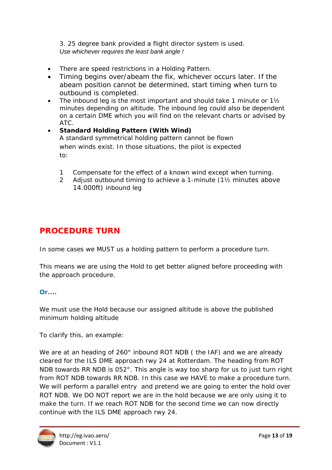3. 25 degree bank provided a flight director system is used. Use whichever requires the least bank angle!

- There are speed restrictions in a Holding Pattern.  $\bullet$
- Timing begins *over/abeam* the fix, whichever occurs later. If the abeam position cannot be determined, start timing when turn to outbound is completed.
- The inbound leg is the most important and should take 1 minute or 1<sup>1/2</sup> minutes depending on altitude. The inbound leg could also be dependent on a certain DME which you will find on the relevant charts or advised by ATC.
- **Standard Holding Pattern (With Wind)** A standard symmetrical holding pattern cannot be flown when winds exist. In those situations, the pilot is expected  $\mathsf{to}:$ 
	- Compensate for the effect of a known wind except when turning.  $\mathbf{1}$
	- $\mathcal{P}$ Adjust outbound timing to achieve a 1-minute (11/2 minutes above 14.000ft) inbound leg

### **PROCEDURE TURN**

In some cases we MUST us a holding pattern to perform a procedure turn.

This means we are using the Hold to get better aligned before proceeding with the approach procedure.

#### $\Omega$ r

We must use the Hold because our assigned altitude is above the published minimum holding altitude

To clarify this, an example:

We are at an heading of 260° inbound ROT NDB (the IAF) and we are already cleared for the ILS DME approach rwy 24 at Rotterdam. The heading from ROT NDB towards RR NDB is 052°. This angle is way too sharp for us to just turn right from ROT NDB towards RR NDB. In this case we HAVE to make a procedure turn. We will perform a parallel entry and pretend we are going to enter the hold over ROT NDB. We DO NOT report we are in the hold because we are only using it to make the turn. If we reach ROT NDB for the second time we can now directly continue with the ILS DME approach rwy 24.

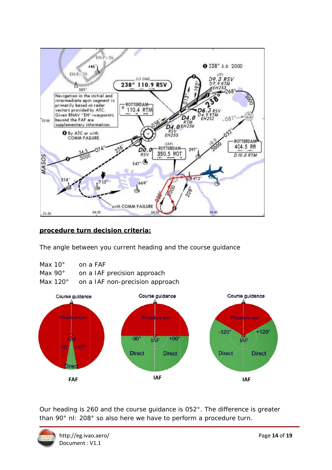

#### procedure turn decision criteria:

The angle between you current heading and the course guidance

| Max 10 $^{\circ}$  | on a FAF                        |
|--------------------|---------------------------------|
| Max $90^\circ$     | on a IAF precision approach     |
| Max 120 $^{\circ}$ | on a IAF non-precision approach |



Our heading is 260 and the course guidance is 052°. The difference is greater than 90° nl: 208° so also here we have to perform a procedure turn.

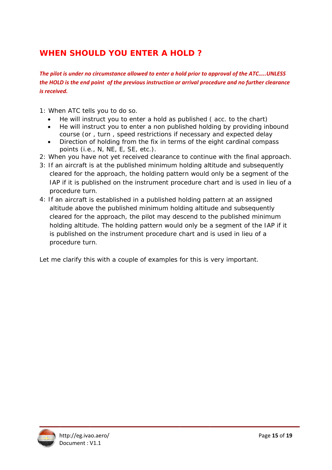# **WHEN SHOULD YOU ENTER A HOLD?**

The pilot is under no circumstance allowed to enter a hold prior to approval of the ATC.....UNLESS the HOLD is the end point of the previous instruction or arrival procedure and no further clearance is received.

1: When ATC tells you to do so.

- He will instruct you to enter a hold as published (acc. to the chart)
- He will instruct you to enter a non published holding by providing inbound course (or, turn, speed restrictions if necessary and expected delay
- Direction of holding from the fix in terms of the eight cardinal compass  $\bullet$ points (i.e., N, NE, E, SE, etc.).
- 2: When you have not yet received clearance to continue with the final approach.
- 3: If an aircraft is at the published minimum holding altitude and subsequently cleared for the approach, the holding pattern would only be a segment of the IAP if it is published on the instrument procedure chart and is used in lieu of a procedure turn.
- 4: If an aircraft is established in a published holding pattern at an assigned altitude above the published minimum holding altitude and subsequently cleared for the approach, the pilot may descend to the published minimum holding altitude. The holding pattern would only be a segment of the IAP if it is published on the instrument procedure chart and is used in lieu of a procedure turn.

Let me clarify this with a couple of examples for this is very important.

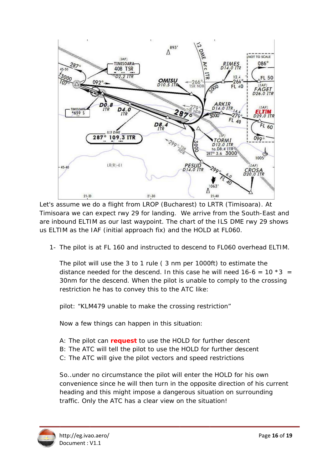

Let's assume we do a flight from LROP (Bucharest) to LRTR (Timisoara). At Timisoara we can expect rwy 29 for landing. We arrive from the South-East and are inbound ELTIM as our last waypoint. The chart of the ILS DME rwy 29 shows us ELTIM as the IAF (initial approach fix) and the HOLD at FL060.

1- The pilot is at FL 160 and instructed to descend to FL060 overhead ELTIM.

The pilot will use the 3 to 1 rule (3 nm per 1000ft) to estimate the distance needed for the descend. In this case he will need  $16-6 = 10 * 3 = 10$ 30nm for the descend. When the pilot is unable to comply to the crossing restriction he has to convey this to the ATC like:

pilot: "KLM479 unable to make the crossing restriction"

Now a few things can happen in this situation:

- A: The pilot can **request** to use the HOLD for further descent
- B: The ATC will tell the pilot to use the HOLD for further descent
- C: The ATC will give the pilot vectors and speed restrictions

So. under no circumstance the pilot will enter the HOLD for his own convenience since he will then turn in the opposite direction of his current heading and this might impose a dangerous situation on surrounding traffic. Only the ATC has a clear view on the situation!

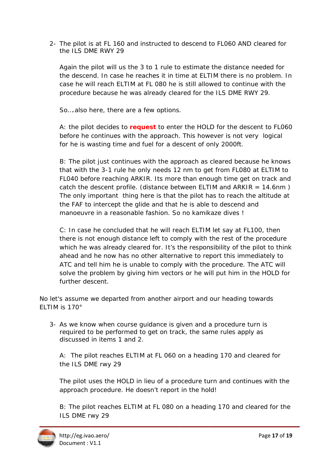2- The pilot is at FL 160 and instructed to descend to FL060 AND cleared for the ILS DME RWY 29

Again the pilot will us the 3 to 1 rule to estimate the distance needed for the descend. In case he reaches it in time at ELTIM there is no problem. In case he will reach ELTIM at FL 080 he is still allowed to continue with the procedure because he was already cleared for the ILS DME RWY 29.

So....also here, there are a few options.

A: the pilot decides to **request** to enter the HOLD for the descent to FL060 for he is wasting time and fuel for a descent of only 2000ft. before he continues with the approach. This however is not very logical

that with the 3-1 rule he only needs 12 nm to get from FL080 at ELTIM to catch the descent profile. (distance between ELTIM and ARKIR = 14.6nm) The only important thing here is that the pilot has to reach the altitude at the FAF to intercept the glide and that he is able to descend and B: The pilot just continues with the approach as cleared because he knows FL040 before reaching ARKIR. Its more than enough time get on track and manoeuvre in a reasonable fashion. So no kamikaze dives !

there is not enough distance left to comply with the rest of the procedure which he was already cleared for. It's the responsibility of the pilot to think ahead and he now has no other alternative to report this immediately to ATC and tell him he is unable to comply with the procedure. The ATC will solve the problem by giving him vectors or he will put him in the HOLD for further descent. C: In case he concluded that he will reach ELTIM let say at FL100, then

No let's assume we departed from another airport and our heading towards ELTIM is 170°

3- As we know when course guidance is given and a procedure turn is d discussed in items 1 1 and 2. required to be performed to get on track, the same rules apply as

A: The pilot reaches ELTIM at FL 060 on a heading 170 and cleared for the ILS DME rwy 29

the ILS DME rwy 29<br>The pilot uses the HOLD in lieu of a procedure turn and continues with the approach procedure. He doesn't report in the hold!

B: The pilot reaches ELTIM at FL 080 on a heading 170 and cleared for the ILS DME rwy 29

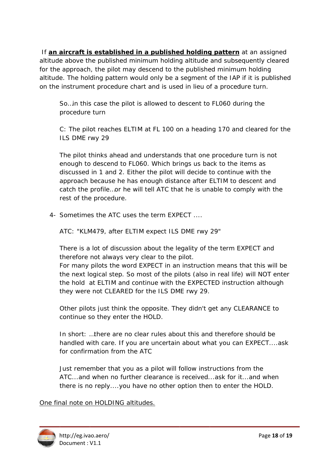If an aircraft is established in a published holding pattern at an assigned altitude above the published minimum holding altitude and subsequently cleared for the approach, the pilot may descend to the published minimum holding altitude. The holding pattern would only be a segment of the IAP if it is published on the instrument procedure chart and is used in lieu of a procedure turn.

So... in this case the pilot is allowed to descent to FL060 during the procedure turn

C: The pilot reaches ELTIM at FL 100 on a heading 170 and cleared for the ILS DME rwy 29

The pilot thinks ahead and understands that one procedure turn is not enough to descend to FL060. Which brings us back to the items as discussed in 1 and 2. Either the pilot will decide to continue with the approach because he has enough distance after ELTIM to descent and catch the profile...or he will tell ATC that he is unable to comply with the rest of the procedure.

4- Sometimes the ATC uses the term EXPECT

ATC: "KLM479, after ELTIM expect ILS DME rwy 29"

There is a lot of discussion about the legality of the term EXPECT and therefore not always very clear to the pilot.

For many pilots the word EXPECT in an instruction means that this will be the next logical step. So most of the pilots (also in real life) will NOT enter the hold at ELTIM and continue with the EXPECTED instruction although they were not CLEARED for the ILS DME rwy 29.

Other pilots just think the opposite. They didn't get any CLEARANCE to continue so they enter the HOLD.

In short: ...there are no clear rules about this and therefore should be handled with care. If you are uncertain about what you can EXPECT....ask for confirmation from the ATC

Just remember that you as a pilot will follow instructions from the ATC...and when no further clearance is received...ask for it...and when there is no reply....you have no other option then to enter the HOLD.

One final note on HOLDING altitudes.